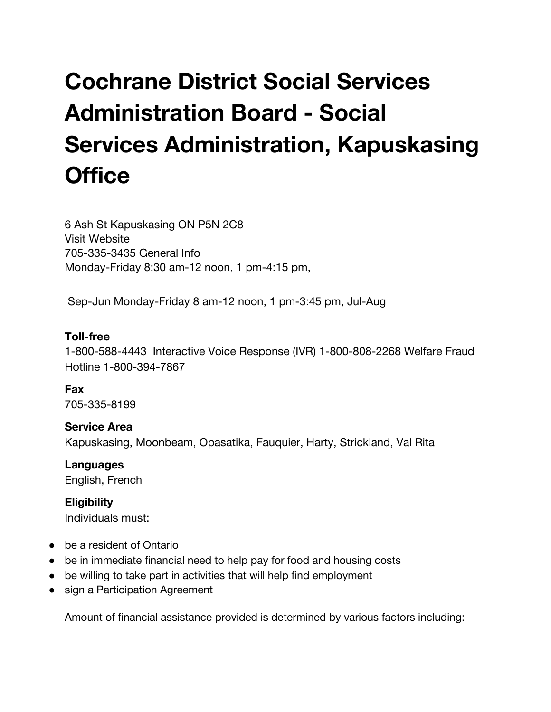# **Cochrane District Social Services Administration Board - Social Services Administration, Kapuskasing Office**

6 Ash St [Kapuskasing](http://google.ca/maps?q=49.4209950,-82.4178190) ON P5N 2C8 Visit [Website](http://www.cdssab.on.ca/) 705-335-3435 General Info Monday-Friday 8:30 am-12 noon, 1 pm-4:15 pm,

Sep-Jun Monday-Friday 8 am-12 noon, 1 pm-3:45 pm, Jul-Aug

## **Toll-free**

1-800-588-4443 Interactive Voice Response (IVR) 1-800-808-2268 Welfare Fraud Hotline 1-800-394-7867

**Fax** 705-335-8199

**Service Area** Kapuskasing, Moonbeam, Opasatika, Fauquier, Harty, Strickland, Val Rita

**Languages** English, French

**Eligibility** Individuals must:

- be a resident of Ontario
- be in immediate financial need to help pay for food and housing costs
- be willing to take part in activities that will help find employment
- sign a Participation Agreement

Amount of financial assistance provided is determined by various factors including: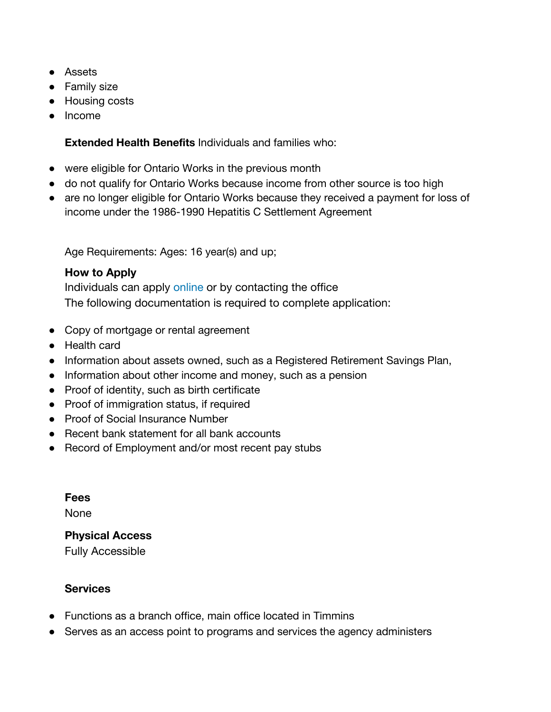- Assets
- Family size
- Housing costs
- Income

**Extended Health Benefits** Individuals and families who:

- were eligible for Ontario Works in the previous month
- do not qualify for Ontario Works because income from other source is too high
- are no longer eligible for Ontario Works because they received a payment for loss of income under the 1986-1990 Hepatitis C Settlement Agreement

Age Requirements: Ages: 16 year(s) and up;

## **How to Apply**

Individuals can apply [online](http://www.mcss.gov.on.ca/en/mcss/programs/social/apply_online.aspx) or by contacting the office The following documentation is required to complete application:

- Copy of mortgage or rental agreement
- Health card
- Information about assets owned, such as a Registered Retirement Savings Plan,
- Information about other income and money, such as a pension
- Proof of identity, such as birth certificate
- Proof of immigration status, if required
- Proof of Social Insurance Number
- Recent bank statement for all bank accounts
- Record of Employment and/or most recent pay stubs

**Fees**

None

## **Physical Access**

Fully Accessible

## **Services**

- Functions as a branch office, main office located in Timmins
- Serves as an access point to programs and services the agency administers